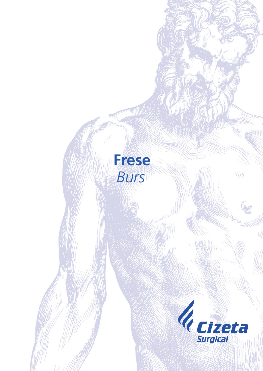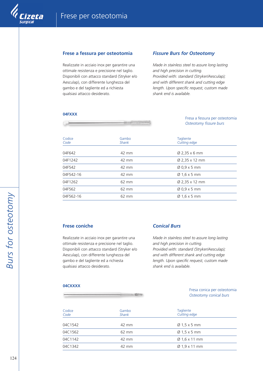

### **Frese a fessura per osteotomia**

Realizzate in acciaio inox per garantire una ottimale resistenza e precisione nel taglio. Disponibili con attacco standard (Stryker e/o Aesculap), con differente lunghezza del gambo e del tagliente ed a richiesta qualsiasi attacco desiderato.

## *Fissure Burs for Osteotomy*

*Made in stainless steel to assure long lasting and high precision in cutting. Provided with: standard (Stryker/Aesculap); and with different shank and cutting edge length. Upon specific request, custom made shank end is available.*

#### **04FXXX**

| しあるのみのというなありのうりのたちだ。                                                      |
|---------------------------------------------------------------------------|
| <b>BRANNAHANAHANARRA</b>                                                  |
| and the state and the state and characteristically all the states are the |

Fresa a fessura per osteotomia *Osteotomy fissure burs*

| Codice<br>Code | Gambo<br><b>Shank</b> | Tagliente<br>Cutting edge |
|----------------|-----------------------|---------------------------|
| 04F642         | 42 mm                 | $\varnothing$ 2,35 x 6 mm |
| 04F1242        | 42 mm                 | Ø 2,35 x 12 mm            |
| 04F542         | 42 mm                 | $\varnothing$ 0,9 x 5 mm  |
| 04F542-16      | 42 mm                 | $\varnothing$ 1,6 x 5 mm  |
| 04F1262        | $62 \, \text{mm}$     | Ø 2,35 x 12 mm            |
| 04F562         | 62 mm                 | $\varnothing$ 0,9 x 5 mm  |
| 04F562-16      | 62 mm                 | $\varnothing$ 1,6 x 5 mm  |

# **Frese coniche**

Realizzate in acciaio inox per garantire una ottimale resistenza e precisione nel taglio. Disponibili con attacco standard (Stryker e/o Aesculap), con differente lunghezza del gambo e del tagliente ed a richiesta qualsiasi attacco desiderato.

# *Conical Burs*

*Made in stainless steel to assure long lasting and high precision in cutting. Provided with: standard (Stryker/Aesculap); and with different shank and cutting edge length. Upon specific request, custom made shank end is available.*

#### **04CXXXX**

### Fresa conica per osteotomia *Osteotomy conical burs*

| Codice<br>Code | Gambo<br><b>Shank</b> | Tagliente<br>Cutting edge |  |
|----------------|-----------------------|---------------------------|--|
| 04C1542        | 42 mm                 | $\varnothing$ 1,5 x 5 mm  |  |
| 04C1562        | 62 mm                 | $\varnothing$ 1,5 x 5 mm  |  |
| 04C1142        | 42 mm                 | $\varnothing$ 1,6 x 11 mm |  |
| 04C1342        | 42 mm                 | $\varnothing$ 1,9 x 11 mm |  |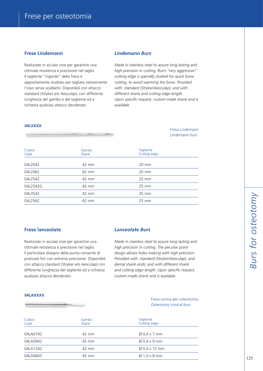## **Frese Lindemann**

Realizzate in acciaio inox per garantire una ottimale resistenza e precisione nel taglio. Il tagliente "ingordo" della fresa è appositamente studiato per tagliare velocemente l'osso senza scaldarlo. Disponibili con attacco standard (Stryker e/o Aesculap), con differente lunghezza del gambo e del tagliente ed a richiesta qualsiasi attacco desiderato.

### *Lindemann Burs*

*Made in stainless steel to assure long lasting and high precision in cutting. Burrs "very aggressive" cutting edge is specially studied for quick bone cutting, to avoid warming the bone. Provided with: standard (Stryker/Aesculap); and with different shank and cutting edge length. Upon specific request, custom made shank end is available.*

#### **04LXXXX**

Fresa Lindemann *Lindemann burs*

| Codice<br>Code | Gambo<br><b>Shank</b> | <b>Tagliente</b><br>Cutting edge |
|----------------|-----------------------|----------------------------------|
| 04L2042        | 42 mm                 | $20 \text{ mm}$                  |
| 04L2062        | 62 mm                 | $20 \text{ mm}$                  |
| 04L2542        | 42 mm                 | $25 \, \text{mm}$                |
| 04L2542G       | 42 mm                 | $25 \, \text{mm}$                |
| 04L3542        | 42 mm                 | 35 mm                            |
| 04L2562        | 62 mm                 | $25 \text{ mm}$                  |

## **Frese lanceolate**

Realizzate in acciaio inox per garantire una ottimale resistenza e precisione nel taglio. Il particolare disegno della punta consente di praticare fori con estrema precisione. Disponibili con attacco standard (Stryker e/o Aesculap) con differente lunghezza del tagliente ed a richiesta qualsiasi attacco desiderato.

## *Lanceolate Burs*

*Made in stainless steel to assure long lasting and high precision in cutting. The peculiar point design allows holes making with high precision. Provided with: standard (Stryker/Aesculap), and dental shank ends; and with different shank and cutting edge length. Upon specific request, custom made shank end is available.*

#### **04LAXXXX**



Fresa conica per osteotomia *Osteotomy conical burs*

| Codice<br>Code | Gambo<br><b>Shank</b> | <b>Tagliente</b><br>Cutting edge |
|----------------|-----------------------|----------------------------------|
| 04LA0742       | 42 mm                 | $\varnothing$ 0,4 x 7 mm         |
| 04LA0942       | 42 mm                 | $\varnothing$ 0,4 x 9 mm         |
| 04LA1242       | 42 mm                 | $\varnothing$ 0,4 x 12 mm        |
| 04LA0845       | 45 mm                 | $\varnothing$ 1,0 x 8 mm         |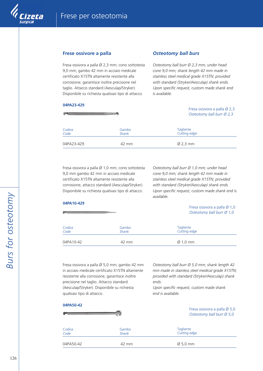

## **Frese ossivore a palla**

Fresa ossivora a palla Ø 2,3 mm; cono sottotesta 9,0 mm; gambo 42 mm in acciaio medicale certificato X15TN altamente resistente alla corrosione; garantisce inoltre precisione nel taglio. Attacco standard (Aesculap/Stryker). Disponibile su richiesta qualsiasi tipo di attacco.

# **04PA23-429 SMI Systems of the State**

## *Osteotomy ball burs*

*Osteotomy ball burr Ø 2,3 mm; under head cone 9,0 mm; shank length 42 mm made in stainless steel medical grade X15TN; provided with standard (Stryker/Aesculap) shank ends. Upon specific request, custom made shank end is available.*

#### Fresa ossivora a palla Ø 2,3 *Osteotomy ball burr Ø 2,3*

| Codice     | Gambo        | Tagliente            |
|------------|--------------|----------------------|
| Code       | <b>Shank</b> | Cutting edge         |
| 04PA23-429 | 42 mm        | $\varnothing$ 2,3 mm |

Fresa ossivora a palla Ø 1,0 mm; cono sottotesta 9,0 mm gambo 42 mm in acciaio medicale certificato X15TN altamente resistente alla corrosione; attacco standard (Aesculap/Stryker). Disponibile su richiesta qualsiasi tipo di attacco.

*Osteotomy ball burr Ø 1,0 mm; under head cone 9,0 mm; shank length 42 mm made in stainless steel medical grade X15TN; provided with standard (Stryker/Aesculap) shank ends. Upon specific request, custom made shank end is available.*

#### **04PA10-429**

**04PA50-42**

Fresa ossivora a palla Ø 1,0 *Osteotomy ball burr Ø 1,0*

| Codice    | Gambo        | Tagliente            |
|-----------|--------------|----------------------|
| Code      | <b>Shank</b> | Cutting edge         |
| 04PA10-42 | 42 mm        | $\varnothing$ 1,0 mm |

Fresa ossivora a palla Ø 5,0 mm; gambo 42 mm in acciaio medicale certificato X15TN altamente resistente alla corrosione; garantisce inoltre precisione nel taglio. Attacco standard (Aesculap/Stryker). Disponibile su richiesta qualsiasi tipo di attacco.

*Osteotomy ball burr Ø 5,0 mm; shank length 42 mm made in stainless steel medical grade X15TN; provided with standard (Stryker/Aesculap) shank ends.* 

*Upon specific request, custom made shank end is available.*

| <b>U4PA50-42</b> |                       | Fresa ossivora a palla Ø 5,0<br>Osteotomy ball burr Ø 5,0 |  |
|------------------|-----------------------|-----------------------------------------------------------|--|
| Codice<br>Code   | Gambo<br><b>Shank</b> | <b>Tagliente</b><br>Cutting edge                          |  |
| 04PA50-42        | 42 mm                 | $\varnothing$ 5,0 mm                                      |  |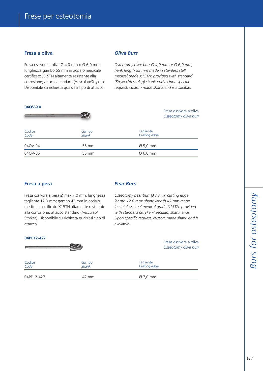# **Fresa a oliva**

Fresa ossivora a oliva Ø 4,0 mm o Ø 6,0 mm; lunghezza gambo 55 mm in acciaio medicale certificato X15TN altamente resistente alla corrosione; attacco standard (Aesculap/Stryker). Disponibile su richiesta qualsiasi tipo di attacco.

#### **04OV-XX**

## *Olive Burs*

*Osteotomy olive burr Ø 4,0 mm or Ø 6,0 mm; hank length 55 mm made in stainless stell medical grade X15TN; provided with standard (Stryker/Aesculap) shank ends. Upon specific request, custom made shank end is available.*

|                |                       | Fresa ossivora a oliva<br>Osteotomy olive burr |
|----------------|-----------------------|------------------------------------------------|
| Codice<br>Code | Gambo<br><b>Shank</b> | Tagliente<br>Cutting edge                      |
| 040V-04        | 55 mm                 | $\varnothing$ 5,0 mm                           |
| 040V-06        | 55 mm                 | $\varnothing$ 6,0 mm                           |

### **Fresa a pera**

Fresa ossivora a pera Ø max 7,0 mm, lunghezza tagliente 12,0 mm; gambo 42 mm in acciaio medicale certificato X15TN altamente resistente alla corrosione; attacco standard (Aesculap/ Stryker). Disponibile su richiesta qualsiasi tipo di attacco.

### *Pear Burs*

*Osteotomy pear burr Ø 7 mm; cutting edge length 12,0 mm; shank length 42 mm made in stainless steel medical grade X15TN; provided with standard (Stryker/Aesculap) shank ends. Upon specific request, custom made shank end is available.*

> Fresa ossivora a oliva *Osteotomy olive burr*

### **04PE12-427**